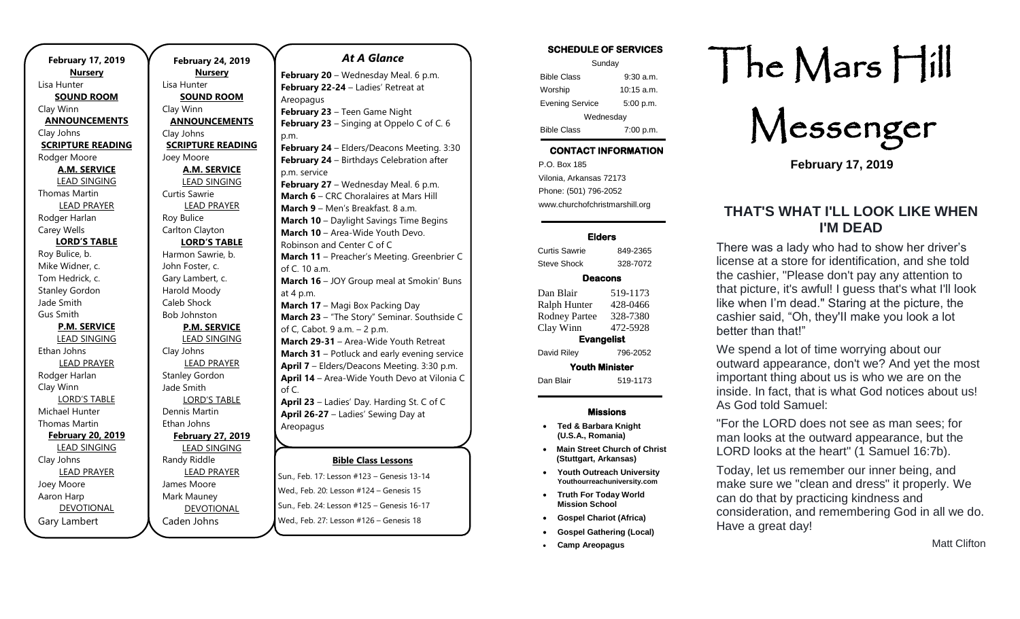**February 17, 2019 Nursery** Lisa Hunter **SOUND ROOM** Clay Winn **ANNOUNCEMENTS** Clay Johns **SCRIPTURE READING** Rodger Moore **A.M. SERVICE** LEAD SINGING Thomas Martin LEAD PRAYER Rodger Harlan Carey Wells **LORD'S TABLE** Roy Bulice, b. Mike Widner, c. Tom Hedrick, c. Stanley Gordon Jade Smith Gus Smith **P.M. SERVICE** LEAD SINGING Ethan Johns LEAD PRAYER Rodger Harlan Clay Winn LORD'S TABLE Michael Hunter Thomas Martin **February 20, 2019** LEAD SINGING Clay Johns LEAD PRAYER Joey Moore Aaron Harp DEVOTIONAL Gary Lambert

**February 24, 2019 Nursery** Lisa Hunter **SOUND ROOM** Clay Winn **ANNOUNCEMENTS** Clay Johns **SCRIPTURE READING** Joey Moore **A.M. SERVICE** LEAD SINGING Curtis Sawrie LEAD PRAYER Roy Bulice Carlton Clayton **LORD'S TABLE** Harmon Sawrie, b. John Foster, c. Gary Lambert, c. Harold Moody Caleb Shock Bob Johnston **P.M. SERVICE** LEAD SINGING Clay Johns LEAD PRAYER Stanley Gordon Jade Smith LORD'S TABLE Dennis Martin Ethan Johns **February 27, 2019** LEAD SINGING Randy Riddle LEAD PRAYER James Moore Mark Mauney

DEVOTIONAL

Caden Johns

### *At A Glance*

**Bible Class Lessons February 20** – Wednesday Meal. 6 p.m. **February 22-24** – Ladies' Retreat at Areopagus **February 23** – Teen Game Night **February 23** – Singing at Oppelo C of C. 6 p.m. **February 24** – Elders/Deacons Meeting. 3:30 **February 24** – Birthdays Celebration after p.m. service **February 27** – Wednesday Meal. 6 p.m. **March 6** – CRC Choralaires at Mars Hill **March 9** – Men's Breakfast. 8 a.m. **March 10** – Daylight Savings Time Begins **March 10 - Area-Wide Youth Devo.** Robinson and Center C of C **March 11** – Preacher's Meeting. Greenbrier C of C. 10 a.m. **March 16** – JOY Group meal at Smokin' Buns at 4 p.m. **March 17** – Magi Box Packing Day **March 23** – "The Story" Seminar. Southside C of C, Cabot. 9 a.m. – 2 p.m. **March 29-31** – Area-Wide Youth Retreat **March 31** – Potluck and early evening service **April 7** – Elders/Deacons Meeting. 3:30 p.m. **April 14** – Area-Wide Youth Devo at Vilonia C of C. **April 23** – Ladies' Day. Harding St. C of C **April 26-27** – Ladies' Sewing Day at Areopagus **April 27-28** – Gospel Meeting. Downtown,

Sun., Feb. 17: Lesson #123 – Genesis 13-14 Wed., Feb. 20: Lesson #124 – Genesis 15 Sun., Feb. 24: Lesson #125 – Genesis 16-17 following until dark Wed., Feb. 27: Lesson #126 – Genesis 18  $\frac{1}{2}$  **April 29 <b>24 Elders** Metropolity Metropolity 10<sup>-</sup>17

#### **SCHEDULE OF SERVICES**

| Sunday                 |              |
|------------------------|--------------|
| <b>Bible Class</b>     | $9:30$ a.m.  |
| Worship                | $10:15$ a.m. |
| <b>Evening Service</b> | 5:00 p.m.    |
| Wednesday              |              |
| <b>Bible Class</b>     | 7:00 p.m.    |

## **CONTACT INFORMATION**

. .o. Box 166<br>Vilonia, Arkansas 72173 P.O. Box 185 Phone: (501) 796-2052 www.churchofchristmarshill.org

#### **Elders**

Curtis Sawrie 849-2365 Steve Shock 328-7072

#### **Deacons**

Dan Blair 519-1173 Ralph Hunter 428-0466 Rodney Partee 328-7380 Clay Winn 472-5928 **Evangelist**  David Riley 796-2052 **Youth Minister**  Dan Blair 519-1173

#### **Missions**

- **Ted & Barbara Knight (U.S.A., Romania)**
- **Main Street Church of Christ (Stuttgart, Arkansas)**
- **Youth Outreach University Youthourreachuniversity.com**
- **Truth For Today World Mission School**
- **Gospel Chariot (Africa)**
- **Gospel Gathering (Local)**
- **Camp Areopagus**

# The Mars Hill

Messenger

**February 17, 2019**

## **THAT'S WHAT I'LL LOOK LIKE WHEN I'M DEAD**

There was a lady who had to show her driver's license at a store for identification, and she told the cashier, "Please don't pay any attention to that picture, it's awful! I guess that's what I'll look like when I'm dead." Staring at the picture, the cashier said, "Oh, they'II make you look a lot better than that!"

We spend a lot of time worrying about our outward appearance, don't we? And yet the most important thing about us is who we are on the inside. In fact, that is what God notices about us! As God told Samuel:

"For the LORD does not see as man sees; for man looks at the outward appearance, but the LORD looks at the heart" (1 Samuel 16:7b).

Today, let us remember our inner being, and make sure we "clean and dress" it properly. We can do that by practicing kindness and consideration, and remembering God in all we do. Have a great day!

Matt Clifton